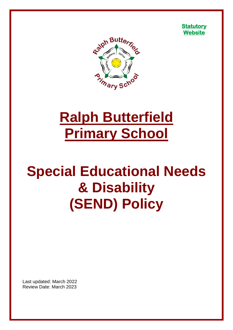



# **Ralph Butterfield Primary School**

# **Special Educational Needs & Disability (SEND) Policy**

Last updated: March 2022 Review Date: March 2023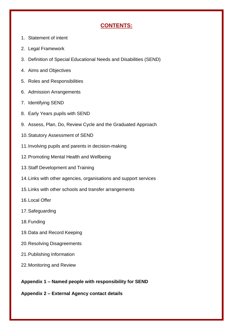# **CONTENTS:**

- 1. Statement of intent
- 2. Legal Framework
- 3. Definition of Special Educational Needs and Disabilities (SEND)
- 4. Aims and Objectives
- 5. Roles and Responsibilities
- 6. Admission Arrangements
- 7. Identifying SEND
- 8. Early Years pupils with SEND
- 9. Assess, Plan, Do, Review Cycle and the Graduated Approach
- 10.Statutory Assessment of SEND
- 11.Involving pupils and parents in decision-making
- 12.Promoting Mental Health and Wellbeing
- 13.Staff Development and Training
- 14.Links with other agencies, organisations and support services
- 15.Links with other schools and transfer arrangements
- 16.Local Offer
- 17.Safeguarding
- 18.Funding
- 19.Data and Record Keeping
- 20.Resolving Disagreements
- 21.Publishing Information
- 22.Monitoring and Review

**Appendix 1 – Named people with responsibility for SEND**

**Appendix 2 – External Agency contact details**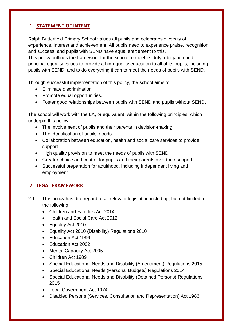### **1. STATEMENT OF INTENT**

Ralph Butterfield Primary School values all pupils and celebrates diversity of experience, interest and achievement. All pupils need to experience praise, recognition and success, and pupils with SEND have equal entitlement to this.

This policy outlines the framework for the school to meet its duty, obligation and principal equality values to provide a high-quality education to all of its pupils, including pupils with SEND, and to do everything it can to meet the needs of pupils with SEND.

Through successful implementation of this policy, the school aims to:

- **Eliminate discrimination**
- Promote equal opportunities.
- Foster good relationships between pupils with SEND and pupils without SEND.

The school will work with the LA, or equivalent, within the following principles, which underpin this policy:

- The involvement of pupils and their parents in decision-making
- The identification of pupils' needs
- Collaboration between education, health and social care services to provide support
- High quality provision to meet the needs of pupils with SEND
- Greater choice and control for pupils and their parents over their support
- Successful preparation for adulthood, including independent living and employment

## **2. LEGAL FRAMEWORK**

- 2.1. This policy has due regard to all relevant legislation including, but not limited to, the following:
	- Children and Families Act 2014
	- Health and Social Care Act 2012
	- Equality Act 2010
	- Equality Act 2010 (Disability) Regulations 2010
	- Education Act 1996
	- Education Act 2002
	- Mental Capacity Act 2005
	- Children Act 1989
	- Special Educational Needs and Disability (Amendment) Regulations 2015
	- Special Educational Needs (Personal Budgets) Regulations 2014
	- Special Educational Needs and Disability (Detained Persons) Regulations 2015
	- Local Government Act 1974
	- Disabled Persons (Services, Consultation and Representation) Act 1986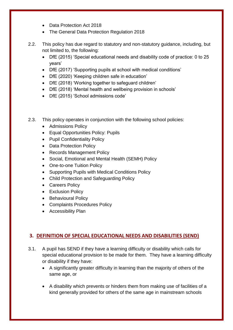- Data Protection Act 2018
- The General Data Protection Regulation 2018
- 2.2. This policy has due regard to statutory and non-statutory guidance, including, but not limited to, the following:
	- DfE (2015) 'Special educational needs and disability code of practice: 0 to 25 years'
	- DfE (2017) 'Supporting pupils at school with medical conditions'
	- DfE (2020) 'Keeping children safe in education'
	- DfE (2018) 'Working together to safeguard children'
	- DfE (2018) 'Mental health and wellbeing provision in schools'
	- DfE (2015) 'School admissions code'
- 2.3. This policy operates in conjunction with the following school policies:
	- Admissions Policy
	- Equal Opportunities Policy: Pupils
	- Pupil Confidentiality Policy
	- Data Protection Policy
	- Records Management Policy
	- Social, Emotional and Mental Health (SEMH) Policy
	- One-to-one Tuition Policy
	- Supporting Pupils with Medical Conditions Policy
	- Child Protection and Safeguarding Policy
	- Careers Policy
	- Exclusion Policy
	- Behavioural Policy
	- Complaints Procedures Policy
	- Accessibility Plan

# **3. DEFINITION OF SPECIAL EDUCATIONAL NEEDS AND DISABILITIES (SEND)**

- 3.1. A pupil has SEND if they have a learning difficulty or disability which calls for special educational provision to be made for them. They have a learning difficulty or disability if they have:
	- A significantly greater difficulty in learning than the majority of others of the same age, or
	- A disability which prevents or hinders them from making use of facilities of a kind generally provided for others of the same age in mainstream schools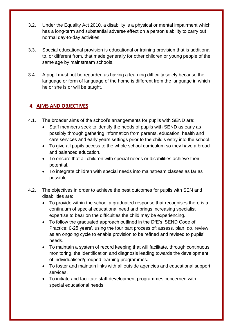- 3.2. Under the Equality Act 2010, a disability is a physical or mental impairment which has a long-term and substantial adverse effect on a person's ability to carry out normal day-to-day activities.
- 3.3. Special educational provision is educational or training provision that is additional to, or different from, that made generally for other children or young people of the same age by mainstream schools.
- 3.4. A pupil must not be regarded as having a learning difficulty solely because the language or form of language of the home is different from the language in which he or she is or will be taught.

# **4. AIMS AND OBJECTIVES**

- 4.1. The broader aims of the school's arrangements for pupils with SEND are:
	- Staff members seek to identify the needs of pupils with SEND as early as possibly through gathering information from parents, education, health and care services and early years settings prior to the child's entry into the school.
	- To give all pupils access to the whole school curriculum so they have a broad and balanced education.
	- To ensure that all children with special needs or disabilities achieve their potential.
	- To integrate children with special needs into mainstream classes as far as possible.
- 4.2. The objectives in order to achieve the best outcomes for pupils with SEN and disabilities are:
	- To provide within the school a graduated response that recognises there is a continuum of special educational need and brings increasing specialist expertise to bear on the difficulties the child may be experiencing.
	- To follow the graduated approach outlined in the DfE's 'SEND Code of Practice: 0-25 years', using the four part process of: assess, plan, do, review as an ongoing cycle to enable provision to be refined and revised to pupils' needs.
	- To maintain a system of record keeping that will facilitate, through continuous monitoring, the identification and diagnosis leading towards the development of individualised/grouped learning programmes.
	- To foster and maintain links with all outside agencies and educational support services.
	- To initiate and facilitate staff development programmes concerned with special educational needs.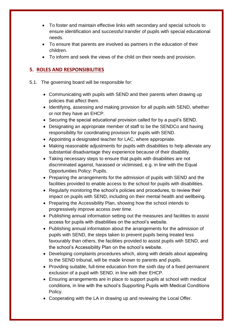- To foster and maintain effective links with secondary and special schools to ensure identification and successful transfer of pupils with special educational needs.
- To ensure that parents are involved as partners in the education of their children.
- To inform and seek the views of the child on their needs and provision.

# **5. ROLES AND RESPONSIBILITIES**

- 5.1. The governing board will be responsible for:
	- Communicating with pupils with SEND and their parents when drawing up policies that affect them.
	- Identifying, assessing and making provision for all pupils with SEND, whether or not they have an EHCP.
	- Securing the special educational provision called for by a pupil's SEND.
	- Designating an appropriate member of staff to be the SENDCo and having responsibility for coordinating provision for pupils with SEND.
	- Appointing a designated teacher for LAC, where appropriate.
	- Making reasonable adjustments for pupils with disabilities to help alleviate any substantial disadvantage they experience because of their disability.
	- Taking necessary steps to ensure that pupils with disabilities are not discriminated against, harassed or victimised, e.g. in line with the Equal Opportunities Policy: Pupils.
	- Preparing the arrangements for the admission of pupils with SEND and the facilities provided to enable access to the school for pupils with disabilities.
	- Regularly monitoring the school's policies and procedures, to review their impact on pupils with SEND, including on their mental health and wellbeing.
	- Preparing the Accessibility Plan, showing how the school intends to progressively improve access over time.
	- Publishing annual information setting out the measures and facilities to assist access for pupils with disabilities on the school's website.
	- Publishing annual information about the arrangements for the admission of pupils with SEND, the steps taken to prevent pupils being treated less favourably than others, the facilities provided to assist pupils with SEND, and the school's Accessibility Plan on the school's website.
	- Developing complaints procedures which, along with details about appealing to the SEND tribunal, will be made known to parents and pupils.
	- Providing suitable, full-time education from the sixth day of a fixed permanent exclusion of a pupil with SEND, in line with their EHCP.
	- Ensuring arrangements are in place to support pupils at school with medical conditions, in line with the school's Supporting Pupils with Medical Conditions Policy.
	- Cooperating with the LA in drawing up and reviewing the Local Offer.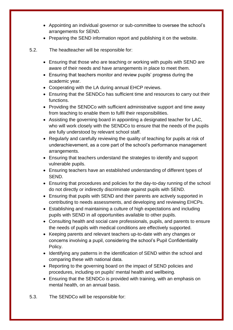- Appointing an individual governor or sub-committee to oversee the school's arrangements for SEND.
- Preparing the SEND information report and publishing it on the website.
- 5.2. The headteacher will be responsible for:
	- Ensuring that those who are teaching or working with pupils with SEND are aware of their needs and have arrangements in place to meet them.
	- Ensuring that teachers monitor and review pupils' progress during the academic year.
	- Cooperating with the LA during annual EHCP reviews.
	- Ensuring that the SENDCo has sufficient time and resources to carry out their functions.
	- Providing the SENDCo with sufficient administrative support and time away from teaching to enable them to fulfil their responsibilities.
	- Assisting the governing board in appointing a designated teacher for LAC, who will work closely with the SENDCo to ensure that the needs of the pupils are fully understood by relevant school staff.
	- Regularly and carefully reviewing the quality of teaching for pupils at risk of underachievement, as a core part of the school's performance management arrangements.
	- Ensuring that teachers understand the strategies to identify and support vulnerable pupils.
	- Ensuring teachers have an established understanding of different types of SEND.
	- Ensuring that procedures and policies for the day-to-day running of the school do not directly or indirectly discriminate against pupils with SEND.
	- Ensuring that pupils with SEND and their parents are actively supported in contributing to needs assessments, and developing and reviewing EHCPs.
	- Establishing and maintaining a culture of high expectations and including pupils with SEND in all opportunities available to other pupils.
	- Consulting health and social care professionals, pupils, and parents to ensure the needs of pupils with medical conditions are effectively supported.
	- Keeping parents and relevant teachers up-to-date with any changes or concerns involving a pupil, considering the school's Pupil Confidentiality Policy.
	- Identifying any patterns in the identification of SEND within the school and comparing these with national data.
	- Reporting to the governing board on the impact of SEND policies and procedures, including on pupils' mental health and wellbeing.
	- Ensuring that the SENDCo is provided with training, with an emphasis on mental health, on an annual basis.
- 5.3. The SENDCo will be responsible for: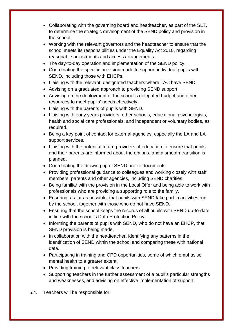- Collaborating with the governing board and headteacher, as part of the SLT, to determine the strategic development of the SEND policy and provision in the school.
- Working with the relevant governors and the headteacher to ensure that the school meets its responsibilities under the Equality Act 2010, regarding reasonable adjustments and access arrangements.
- The day-to-day operation and implementation of the SEND policy.
- Coordinating the specific provision made to support individual pupils with SEND, including those with EHCPs.
- Liaising with the relevant, designated teachers where LAC have SEND.
- Advising on a graduated approach to providing SEND support.
- Advising on the deployment of the school's delegated budget and other resources to meet pupils' needs effectively.
- Liaising with the parents of pupils with SEND.
- Liaising with early years providers, other schools, educational psychologists, health and social care professionals, and independent or voluntary bodies, as required.
- Being a key point of contact for external agencies, especially the LA and LA support services.
- Liaising with the potential future providers of education to ensure that pupils and their parents are informed about the options, and a smooth transition is planned.
- Coordinating the drawing up of SEND profile documents.
- Providing professional guidance to colleagues and working closely with staff members, parents and other agencies, including SEND charities.
- Being familiar with the provision in the Local Offer and being able to work with professionals who are providing a supporting role to the family.
- Ensuring, as far as possible, that pupils with SEND take part in activities run by the school, together with those who do not have SEND.
- Ensuring that the school keeps the records of all pupils with SEND up-to-date, in line with the school's Data Protection Policy.
- Informing the parents of pupils with SEND, who do not have an EHCP, that SEND provision is being made.
- In collaboration with the headteacher, identifying any patterns in the identification of SEND within the school and comparing these with national data.
- Participating in training and CPD opportunities, some of which emphasise mental health to a greater extent.
- Providing training to relevant class teachers.
- Supporting teachers in the further assessment of a pupil's particular strengths and weaknesses, and advising on effective implementation of support.
- 5.4. Teachers will be responsible for: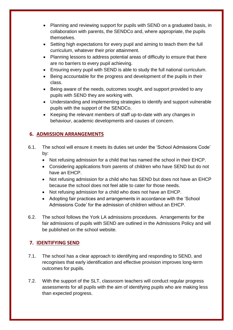- Planning and reviewing support for pupils with SEND on a graduated basis, in collaboration with parents, the SENDCo and, where appropriate, the pupils themselves.
- Setting high expectations for every pupil and aiming to teach them the full curriculum, whatever their prior attainment.
- Planning lessons to address potential areas of difficulty to ensure that there are no barriers to every pupil achieving.
- Ensuring every pupil with SEND is able to study the full national curriculum.
- Being accountable for the progress and development of the pupils in their class.
- Being aware of the needs, outcomes sought, and support provided to any pupils with SEND they are working with.
- Understanding and implementing strategies to identify and support vulnerable pupils with the support of the SENDCo.
- Keeping the relevant members of staff up-to-date with any changes in behaviour, academic developments and causes of concern.

# **6. ADMISSION ARRANGEMENTS**

- 6.1. The school will ensure it meets its duties set under the 'School Admissions Code' by:
	- Not refusing admission for a child that has named the school in their EHCP.
	- Considering applications from parents of children who have SEND but do not have an EHCP.
	- Not refusing admission for a child who has SEND but does not have an EHCP because the school does not feel able to cater for those needs.
	- Not refusing admission for a child who does not have an EHCP.
	- Adopting fair practices and arrangements in accordance with the 'School Admissions Code' for the admission of children without an EHCP.
- 6.2. The school follows the York LA admissions procedures. Arrangements for the fair admissions of pupils with SEND are outlined in the Admissions Policy and will be published on the school website.

# **7. IDENTIFYING SEND**

- 7.1. The school has a clear approach to identifying and responding to SEND, and recognises that early identification and effective provision improves long-term outcomes for pupils.
- 7.2. With the support of the SLT, classroom teachers will conduct regular progress assessments for all pupils with the aim of identifying pupils who are making less than expected progress.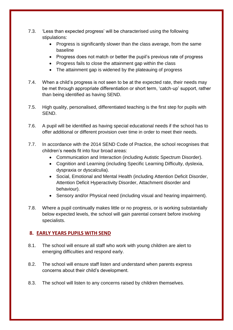- 7.3. 'Less than expected progress' will be characterised using the following stipulations:
	- Progress is significantly slower than the class average, from the same baseline
	- Progress does not match or better the pupil's previous rate of progress
	- Progress fails to close the attainment gap within the class
	- The attainment gap is widened by the plateauing of progress
- 7.4. When a child's progress is not seen to be at the expected rate, their needs may be met through appropriate differentiation or short term, 'catch-up' support, rather than being identified as having SEND.
- 7.5. High quality, personalised, differentiated teaching is the first step for pupils with SEND.
- 7.6. A pupil will be identified as having special educational needs if the school has to offer additional or different provision over time in order to meet their needs.
- 7.7. In accordance with the 2014 SEND Code of Practice, the school recognises that children's needs fit into four broad areas:
	- Communication and Interaction (including Autistic Spectrum Disorder).
	- Cognition and Learning (including Specific Learning Difficulty, dyslexia, dyspraxia or dyscalculia).
	- Social, Emotional and Mental Health (including Attention Deficit Disorder, Attention Deficit Hyperactivity Disorder, Attachment disorder and behaviour).
	- Sensory and/or Physical need (including visual and hearing impairment).
- 7.8. Where a pupil continually makes little or no progress, or is working substantially below expected levels, the school will gain parental consent before involving specialists.

## **8. EARLY YEARS PUPILS WITH SEND**

- 8.1. The school will ensure all staff who work with young children are alert to emerging difficulties and respond early.
- 8.2. The school will ensure staff listen and understand when parents express concerns about their child's development.
- 8.3. The school will listen to any concerns raised by children themselves.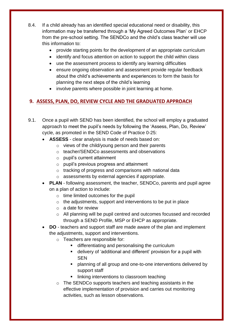- 8.4. If a child already has an identified special educational need or disability, this information may be transferred through a 'My Agreed Outcomes Plan' or EHCP from the pre-school setting. The SENDCo and the child's class teacher will use this information to:
	- provide starting points for the development of an appropriate curriculum
	- identify and focus attention on action to support the child within class
	- use the assessment process to identify any learning difficulties
	- ensure ongoing observation and assessment provide regular feedback about the child's achievements and experiences to form the basis for planning the next steps of the child's learning
	- involve parents where possible in joint learning at home.

# **9. ASSESS, PLAN, DO, REVIEW CYCLE AND THE GRADUATED APPROACH**

- 9.1. Once a pupil with SEND has been identified, the school will employ a graduated approach to meet the pupil's needs by following the 'Assess, Plan, Do, Review' cycle, as promoted in the SEND Code of Practice 0-25:
	- **ASSESS** clear analysis is made of needs based on:
		- o views of the child/young person and their parents
		- o teacher/SENDCo assessments and observations
		- o pupil's current attainment
		- $\circ$  pupil's previous progress and attainment
		- o tracking of progress and comparisons with national data
		- o assessments by external agencies if appropriate.
	- **PLAN** following assessment, the teacher, SENDCo, parents and pupil agree on a plan of action to include:
		- $\circ$  time limited outcomes for the pupil
		- o the adjustments, support and interventions to be put in place
		- o a date for review
		- o All planning will be pupil centred and outcomes focussed and recorded through a SEND Profile, MSP or EHCP as appropriate.
	- **DO** teachers and support staff are made aware of the plan and implement the adjustments, support and interventions.
		- o Teachers are responsible for:
			- differentiating and personalising the curriculum
			- delivery of 'additional and different' provision for a pupil with SEN
			- planning of all group and one-to-one interventions delivered by support staff
			- **I** linking interventions to classroom teaching
		- o The SENDCo supports teachers and teaching assistants in the effective implementation of provision and carries out monitoring activities, such as lesson observations.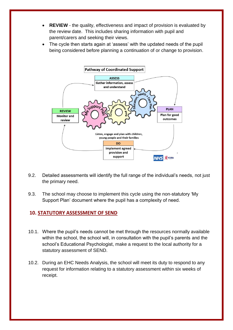- **REVIEW** the quality, effectiveness and impact of provision is evaluated by the review date. This includes sharing information with pupil and parent/carers and seeking their views.
- The cycle then starts again at 'assess' with the updated needs of the pupil being considered before planning a continuation of or change to provision.



- 9.2. Detailed assessments will identify the full range of the individual's needs, not just the primary need.
- 9.3. The school may choose to implement this cycle using the non-statutory 'My Support Plan' document where the pupil has a complexity of need.

#### **10. STATUTORY ASSESSMENT OF SEND**

- 10.1. Where the pupil's needs cannot be met through the resources normally available within the school, the school will, in consultation with the pupil's parents and the school's Educational Psychologist, make a request to the local authority for a statutory assessment of SEND.
- 10.2. During an EHC Needs Analysis, the school will meet its duty to respond to any request for information relating to a statutory assessment within six weeks of receipt.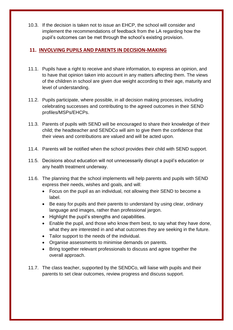10.3. If the decision is taken not to issue an EHCP, the school will consider and implement the recommendations of feedback from the LA regarding how the pupil's outcomes can be met through the school's existing provision.

### **11. INVOLVING PUPILS AND PARENTS IN DECISION-MAKING**

- 11.1. Pupils have a right to receive and share information, to express an opinion, and to have that opinion taken into account in any matters affecting them. The views of the children in school are given due weight according to their age, maturity and level of understanding.
- 11.2. Pupils participate, where possible, in all decision making processes, including celebrating successes and contributing to the agreed outcomes in their SEND profiles/MSPs/EHCPs.
- 11.3. Parents of pupils with SEND will be encouraged to share their knowledge of their child; the headteacher and SENDCo will aim to give them the confidence that their views and contributions are valued and will be acted upon.
- 11.4. Parents will be notified when the school provides their child with SEND support.
- 11.5. Decisions about education will not unnecessarily disrupt a pupil's education or any health treatment underway.
- 11.6. The planning that the school implements will help parents and pupils with SEND express their needs, wishes and goals, and will:
	- Focus on the pupil as an individual, not allowing their SEND to become a label.
	- Be easy for pupils and their parents to understand by using clear, ordinary language and images, rather than professional jargon.
	- Highlight the pupil's strengths and capabilities.
	- Enable the pupil, and those who know them best, to say what they have done, what they are interested in and what outcomes they are seeking in the future.
	- Tailor support to the needs of the individual.
	- Organise assessments to minimise demands on parents.
	- Bring together relevant professionals to discuss and agree together the overall approach.
- 11.7. The class teacher, supported by the SENDCo, will liaise with pupils and their parents to set clear outcomes, review progress and discuss support.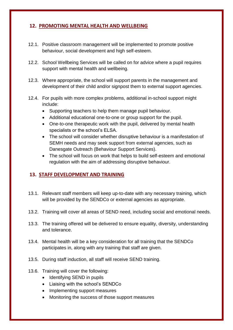#### **12. PROMOTING MENTAL HEALTH AND WELLBEING**

- 12.1. Positive classroom management will be implemented to promote positive behaviour, social development and high self-esteem.
- 12.2. School Wellbeing Services will be called on for advice where a pupil requires support with mental health and wellbeing.
- 12.3. Where appropriate, the school will support parents in the management and development of their child and/or signpost them to external support agencies.
- 12.4. For pupils with more complex problems, additional in-school support might include:
	- Supporting teachers to help them manage pupil behaviour.
	- Additional educational one-to-one or group support for the pupil.
	- One-to-one therapeutic work with the pupil, delivered by mental health specialists or the school's ELSA.
	- The school will consider whether disruptive behaviour is a manifestation of SEMH needs and may seek support from external agencies, such as Danesgate Outreach (Behaviour Support Services).
	- The school will focus on work that helps to build self-esteem and emotional regulation with the aim of addressing disruptive behaviour.

## **13. STAFF DEVELOPMENT AND TRAINING**

- 13.1. Relevant staff members will keep up-to-date with any necessary training, which will be provided by the SENDCo or external agencies as appropriate.
- 13.2. Training will cover all areas of SEND need, including social and emotional needs.
- 13.3. The training offered will be delivered to ensure equality, diversity, understanding and tolerance.
- 13.4. Mental health will be a key consideration for all training that the SENDCo participates in, along with any training that staff are given.
- 13.5. During staff induction, all staff will receive SEND training.
- 13.6. Training will cover the following:
	- Identifying SEND in pupils
	- Liaising with the school's SENDCo
	- Implementing support measures
	- Monitoring the success of those support measures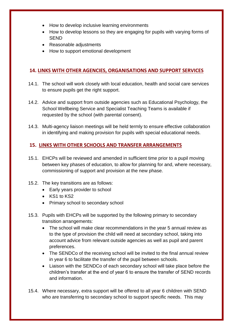- How to develop inclusive learning environments
- How to develop lessons so they are engaging for pupils with varying forms of **SEND**
- Reasonable adjustments
- How to support emotional development

#### **14. LINKS WITH OTHER AGENCIES, ORGANISATIONS AND SUPPORT SERVICES**

- 14.1. The school will work closely with local education, health and social care services to ensure pupils get the right support.
- 14.2. Advice and support from outside agencies such as Educational Psychology, the School Wellbeing Service and Specialist Teaching Teams is available if requested by the school (with parental consent).
- 14.3. Multi-agency liaison meetings will be held termly to ensure effective collaboration in identifying and making provision for pupils with special educational needs.

#### **15. LINKS WITH OTHER SCHOOLS AND TRANSFER ARRANGEMENTS**

- 15.1. EHCPs will be reviewed and amended in sufficient time prior to a pupil moving between key phases of education, to allow for planning for and, where necessary, commissioning of support and provision at the new phase.
- 15.2. The key transitions are as follows:
	- Early years provider to school
	- $\bullet$  KS1 to KS2
	- Primary school to secondary school
- 15.3. Pupils with EHCPs will be supported by the following primary to secondary transition arrangements:
	- The school will make clear recommendations in the year 5 annual review as to the type of provision the child will need at secondary school, taking into account advice from relevant outside agencies as well as pupil and parent preferences.
	- The SENDCo of the receiving school will be invited to the final annual review in year 6 to facilitate the transfer of the pupil between schools.
	- Liaison with the SENDCo of each secondary school will take place before the children's transfer at the end of year 6 to ensure the transfer of SEND records and information.
- 15.4. Where necessary, extra support will be offered to all year 6 children with SEND who are transferring to secondary school to support specific needs. This may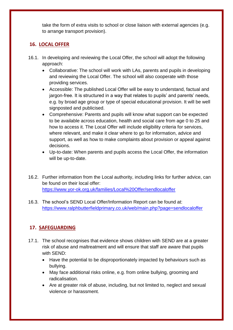take the form of extra visits to school or close liaison with external agencies (e.g. to arrange transport provision).

# **16. LOCAL OFFER**

- 16.1. In developing and reviewing the Local Offer, the school will adopt the following approach:
	- Collaborative: The school will work with LAs, parents and pupils in developing and reviewing the Local Offer. The school will also cooperate with those providing services.
	- Accessible: The published Local Offer will be easy to understand, factual and jargon-free. It is structured in a way that relates to pupils' and parents' needs, e.g. by broad age group or type of special educational provision. It will be well signposted and publicised.
	- Comprehensive: Parents and pupils will know what support can be expected to be available across education, health and social care from age 0 to 25 and how to access it. The Local Offer will include eligibility criteria for services, where relevant, and make it clear where to go for information, advice and support, as well as how to make complaints about provision or appeal against decisions.
	- Up-to-date: When parents and pupils access the Local Offer, the information will be up-to-date.
- 16.2. Further information from the Local authority, including links for further advice, can be found on their local offer: <https://www.yor-ok.org.uk/families/Local%20Offer/sendlocaloffer>
- 16.3. The school's SEND Local Offer/Information Report can be found at: <https://www.ralphbutterfieldprimary.co.uk/web/main.php?page=sendlocaloffer>

# **17. SAFEGUARDING**

- 17.1. The school recognises that evidence shows children with SEND are at a greater risk of abuse and maltreatment and will ensure that staff are aware that pupils with SEND:
	- Have the potential to be disproportionately impacted by behaviours such as bullying.
	- May face additional risks online, e.g. from online bullying, grooming and radicalisation.
	- Are at greater risk of abuse, including, but not limited to, neglect and sexual violence or harassment.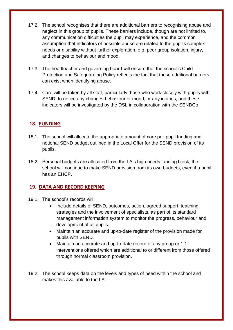- 17.2. The school recognises that there are additional barriers to recognising abuse and neglect in this group of pupils. These barriers include, though are not limited to, any communication difficulties the pupil may experience, and the common assumption that indicators of possible abuse are related to the pupil's complex needs or disability without further exploration, e.g. peer group isolation, injury, and changes to behaviour and mood.
- 17.3. The headteacher and governing board will ensure that the school's Child Protection and Safeguarding Policy reflects the fact that these additional barriers can exist when identifying abuse.
- 17.4. Care will be taken by all staff, particularly those who work closely with pupils with SEND, to notice any changes behaviour or mood, or any injuries, and these indicators will be investigated by the DSL in collaboration with the SENDCo.

## **18. FUNDING**

- 18.1. The school will allocate the appropriate amount of core per-pupil funding and notional SEND budget outlined in the Local Offer for the SEND provision of its pupils.
- 18.2. Personal budgets are allocated from the LA's high needs funding block; the school will continue to make SEND provision from its own budgets, even if a pupil has an EHCP.

#### **19. DATA AND RECORD KEEPING**

- 19.1. The school's records will:
	- Include details of SEND, outcomes, action, agreed support, teaching strategies and the involvement of specialists, as part of its standard management information system to monitor the progress, behaviour and development of all pupils.
	- Maintain an accurate and up-to-date register of the provision made for pupils with SEND.
	- Maintain an accurate and up-to-date record of any group or 1:1 interventions offered which are additional to or different from those offered through normal classroom provision.
- 19.2. The school keeps data on the levels and types of need within the school and makes this available to the LA.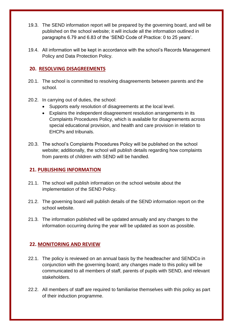- 19.3. The SEND information report will be prepared by the governing board, and will be published on the school website; it will include all the information outlined in paragraphs 6.79 and 6.83 of the 'SEND Code of Practice: 0 to 25 years'.
- 19.4. All information will be kept in accordance with the school's Records Management Policy and Data Protection Policy.

#### **20. RESOLVING DISAGREEMENTS**

- 20.1. The school is committed to resolving disagreements between parents and the school.
- 20.2. In carrying out of duties, the school:
	- Supports early resolution of disagreements at the local level.
	- Explains the independent disagreement resolution arrangements in its Complaints Procedures Policy, which is available for disagreements across special educational provision, and health and care provision in relation to EHCPs and tribunals.
- 20.3. The school's Complaints Procedures Policy will be published on the school website; additionally, the school will publish details regarding how complaints from parents of children with SEND will be handled.

## **21. PUBLISHING INFORMATION**

- 21.1. The school will publish information on the school website about the implementation of the SEND Policy.
- 21.2. The governing board will publish details of the SEND information report on the school website.
- 21.3. The information published will be updated annually and any changes to the information occurring during the year will be updated as soon as possible.

## **22. MONITORING AND REVIEW**

- 22.1. The policy is reviewed on an annual basis by the headteacher and SENDCo in conjunction with the governing board; any changes made to this policy will be communicated to all members of staff, parents of pupils with SEND, and relevant stakeholders.
- 22.2. All members of staff are required to familiarise themselves with this policy as part of their induction programme.